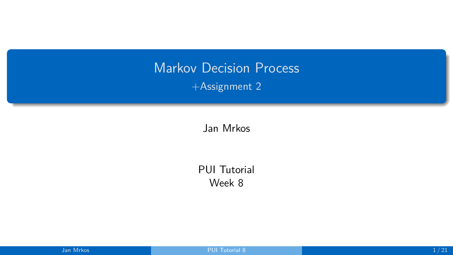# <span id="page-0-0"></span>Markov Decision Process +Assignment 2

Jan Mrkos

PUI Tutorial Week 8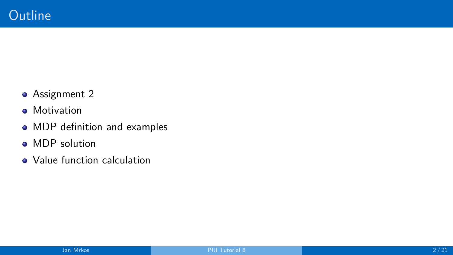- Assignment 2
- **•** Motivation
- MDP definition and examples
- MDP solution
- Value function calculation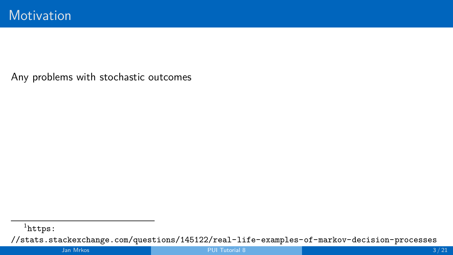<sup>1</sup>[https:](https://stats.stackexchange.com/questions/145122/real-life-examples-of-markov-decision-processes)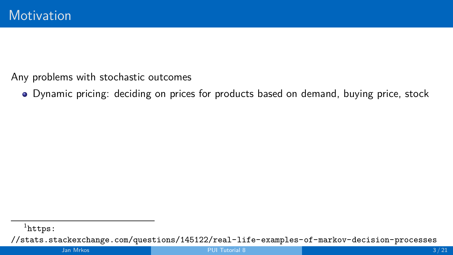Dynamic pricing: deciding on prices for products based on demand, buying price, stock

<sup>&</sup>lt;sup>1</sup>[https:](https://stats.stackexchange.com/questions/145122/real-life-examples-of-markov-decision-processes)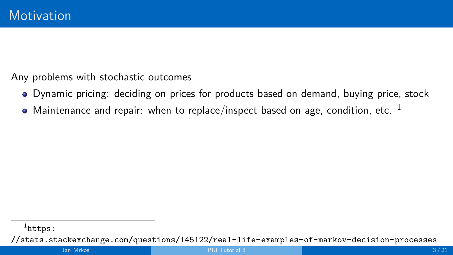- Dynamic pricing: deciding on prices for products based on demand, buying price, stock
- $\bullet$  Maintenance and repair: when to replace/inspect based on age, condition, etc.  $^1$

<sup>&</sup>lt;sup>1</sup>[https:](https://stats.stackexchange.com/questions/145122/real-life-examples-of-markov-decision-processes)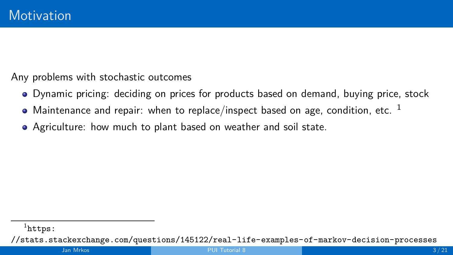- Dynamic pricing: deciding on prices for products based on demand, buying price, stock
- Maintenance and repair: when to replace/inspect based on age, condition, etc.  $1$
- Agriculture: how much to plant based on weather and soil state.

<sup>&</sup>lt;sup>1</sup>[https:](https://stats.stackexchange.com/questions/145122/real-life-examples-of-markov-decision-processes)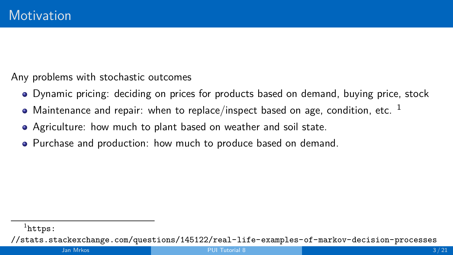- Dynamic pricing: deciding on prices for products based on demand, buying price, stock
- $\bullet$  Maintenance and repair: when to replace/inspect based on age, condition, etc.  $^1$
- Agriculture: how much to plant based on weather and soil state.
- Purchase and production: how much to produce based on demand.

<sup>&</sup>lt;sup>1</sup>[https:](https://stats.stackexchange.com/questions/145122/real-life-examples-of-markov-decision-processes)

[<sup>//</sup>stats.stackexchange.com/questions/145122/real-life-examples-of-markov-decision-processes](https://stats.stackexchange.com/questions/145122/real-life-examples-of-markov-decision-processes)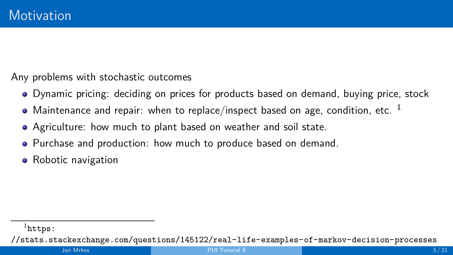- Dynamic pricing: deciding on prices for products based on demand, buying price, stock
- Maintenance and repair: when to replace/inspect based on age, condition, etc.  $1$
- Agriculture: how much to plant based on weather and soil state.
- Purchase and production: how much to produce based on demand.
- Robotic navigation

<sup>&</sup>lt;sup>1</sup>[https:](https://stats.stackexchange.com/questions/145122/real-life-examples-of-markov-decision-processes)

[<sup>//</sup>stats.stackexchange.com/questions/145122/real-life-examples-of-markov-decision-processes](https://stats.stackexchange.com/questions/145122/real-life-examples-of-markov-decision-processes)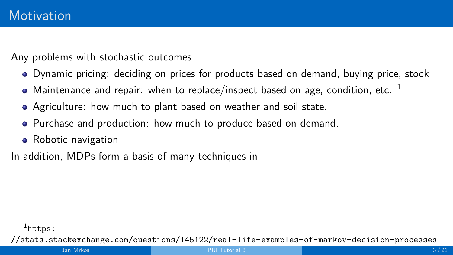- Dynamic pricing: deciding on prices for products based on demand, buying price, stock
- $\bullet$  Maintenance and repair: when to replace/inspect based on age, condition, etc. <sup>1</sup>
- Agriculture: how much to plant based on weather and soil state.
- Purchase and production: how much to produce based on demand.
- Robotic navigation

In addition, MDPs form a basis of many techniques in

<sup>&</sup>lt;sup>1</sup>[https:](https://stats.stackexchange.com/questions/145122/real-life-examples-of-markov-decision-processes)

[<sup>//</sup>stats.stackexchange.com/questions/145122/real-life-examples-of-markov-decision-processes](https://stats.stackexchange.com/questions/145122/real-life-examples-of-markov-decision-processes)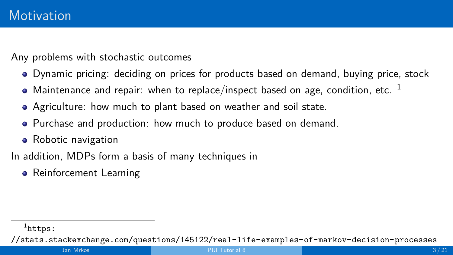- Dynamic pricing: deciding on prices for products based on demand, buying price, stock
- $\bullet$  Maintenance and repair: when to replace/inspect based on age, condition, etc. <sup>1</sup>
- Agriculture: how much to plant based on weather and soil state.
- Purchase and production: how much to produce based on demand.
- Robotic navigation

In addition, MDPs form a basis of many techniques in

• Reinforcement Learning

<sup>&</sup>lt;sup>1</sup>[https:](https://stats.stackexchange.com/questions/145122/real-life-examples-of-markov-decision-processes)

[<sup>//</sup>stats.stackexchange.com/questions/145122/real-life-examples-of-markov-decision-processes](https://stats.stackexchange.com/questions/145122/real-life-examples-of-markov-decision-processes)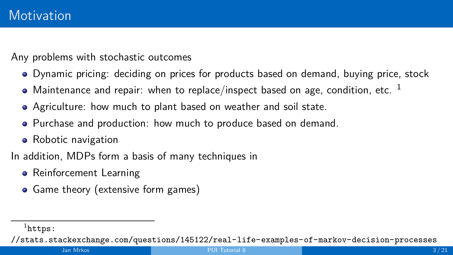- Dynamic pricing: deciding on prices for products based on demand, buying price, stock
- $\bullet$  Maintenance and repair: when to replace/inspect based on age, condition, etc. <sup>1</sup>
- Agriculture: how much to plant based on weather and soil state.
- Purchase and production: how much to produce based on demand.
- Robotic navigation

In addition, MDPs form a basis of many techniques in

- **•** Reinforcement Learning
- Game theory (extensive form games)

<sup>&</sup>lt;sup>1</sup>[https:](https://stats.stackexchange.com/questions/145122/real-life-examples-of-markov-decision-processes)

[<sup>//</sup>stats.stackexchange.com/questions/145122/real-life-examples-of-markov-decision-processes](https://stats.stackexchange.com/questions/145122/real-life-examples-of-markov-decision-processes)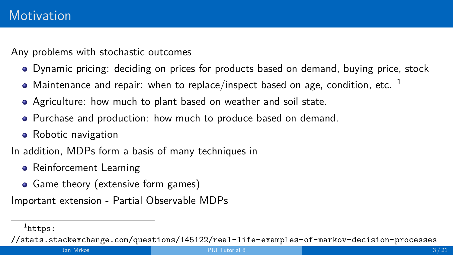- Dynamic pricing: deciding on prices for products based on demand, buying price, stock
- Maintenance and repair: when to replace/inspect based on age, condition, etc.  $1$
- Agriculture: how much to plant based on weather and soil state.
- Purchase and production: how much to produce based on demand.
- Robotic navigation

In addition, MDPs form a basis of many techniques in

- **•** Reinforcement Learning
- Game theory (extensive form games)

Important extension - Partial Observable MDPs

<sup>&</sup>lt;sup>1</sup>[https:](https://stats.stackexchange.com/questions/145122/real-life-examples-of-markov-decision-processes)

[<sup>//</sup>stats.stackexchange.com/questions/145122/real-life-examples-of-markov-decision-processes](https://stats.stackexchange.com/questions/145122/real-life-examples-of-markov-decision-processes)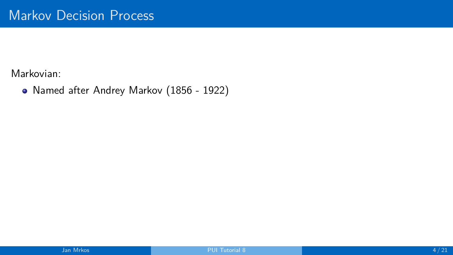Named after Andrey Markov (1856 - 1922)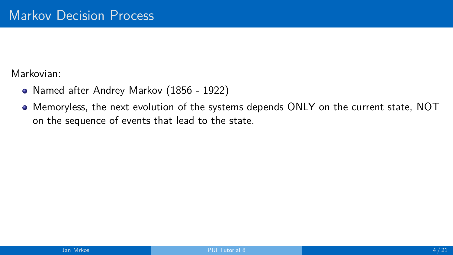- Named after Andrey Markov (1856 1922)
- Memoryless, the next evolution of the systems depends ONLY on the current state, NOT on the sequence of events that lead to the state.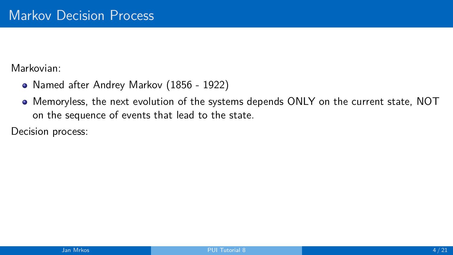- Named after Andrey Markov (1856 1922)
- Memoryless, the next evolution of the systems depends ONLY on the current state, NOT on the sequence of events that lead to the state.

Decision process: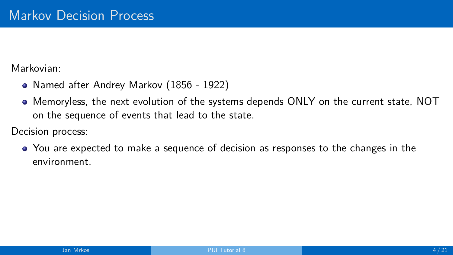- Named after Andrey Markov (1856 1922)
- Memoryless, the next evolution of the systems depends ONLY on the current state, NOT on the sequence of events that lead to the state.

Decision process:

You are expected to make a sequence of decision as responses to the changes in the environment.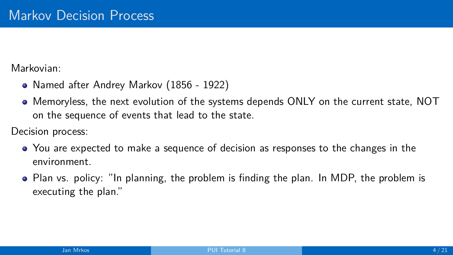- Named after Andrey Markov (1856 1922)
- Memoryless, the next evolution of the systems depends ONLY on the current state, NOT on the sequence of events that lead to the state.

Decision process:

- You are expected to make a sequence of decision as responses to the changes in the environment.
- Plan vs. policy: "In planning, the problem is finding the plan. In MDP, the problem is executing the plan."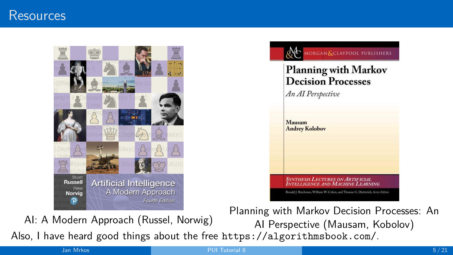## Resources





AI: A Modern Approach (Russel, Norwig)

Planning with Markov Decision Processes: An AI Perspective (Mausam, Kobolov) Also, I have heard good things about the free <https://algorithmsbook.com/>.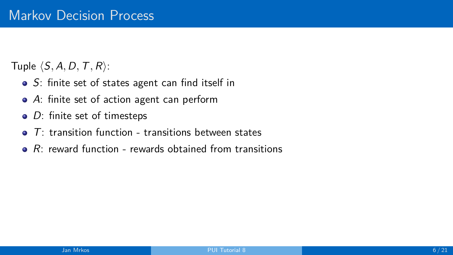Tuple  $\langle S, A, D, T, R \rangle$ :

- $\bullet$  S: finite set of states agent can find itself in
- A: finite set of action agent can perform
- $\bullet$  D: finite set of timesteps
- $\bullet$  T: transition function transitions between states
- $\bullet$  R: reward function rewards obtained from transitions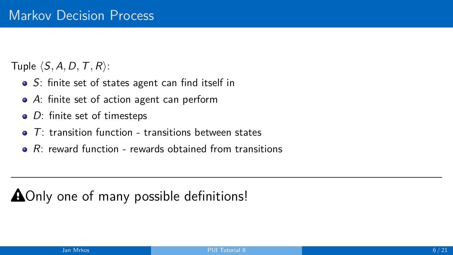Tuple  $\langle S, A, D, T, R \rangle$ :

- S: finite set of states agent can find itself in
- A: finite set of action agent can perform
- $\bullet$  D: finite set of timesteps
- $T$ : transition function transitions between states  $\bullet$
- $\bullet$  R: reward function rewards obtained from transitions

# $\triangle$ Only one of many possible definitions!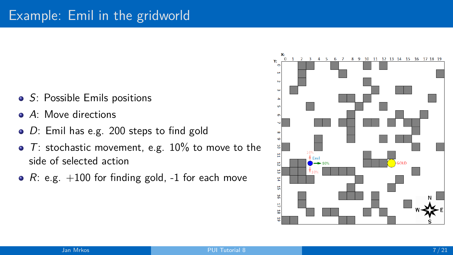- S: Possible Emils positions
- A: Move directions
- D: Emil has e.g. 200 steps to find gold
- $\bullet$  T: stochastic movement, e.g. 10% to move to the side of selected action
- $R: e.g. +100$  for finding gold,  $-1$  for each move

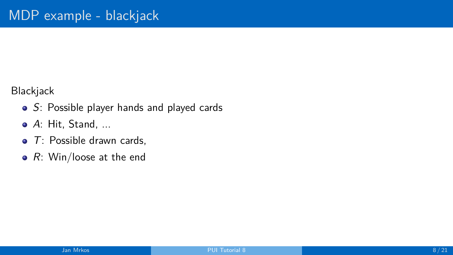Blackjack

- S: Possible player hands and played cards
- A: Hit, Stand, ...
- $\bullet$  T: Possible drawn cards,
- $R$ : Win/loose at the end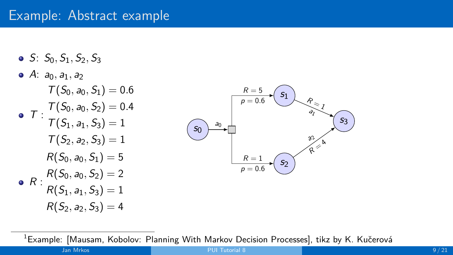# Example: Abstract example

 $S: S_0, S_1, S_2, S_3$  $\bullet$  A:  $a_0$ ,  $a_1$ ,  $a_2$  $T : T(S_0, a_0, S_2) = 0.4$  $T(S_0, a_0, S_1) = 0.6$  $T(S_1, a_1, S_3) = 1$  $T(S_2, a_2, S_3) = 1$  $R: R(S_0, a_0, S_2) = 2$  $R(S_0, a_0, S_1) = 5$  $R(S_1, a_1, S_3) = 1$  $R(S_2, a_2, S_3) = 4$ 



 ${}^{1}$ Example: [Mausam, Kobolov: Planning With Markov Decision Processes], tikz by K. Kučerová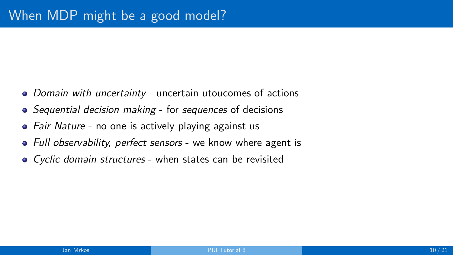- Domain with uncertainty uncertain utoucomes of actions
- Sequential decision making for sequences of decisions
- Fair Nature no one is actively playing against us
- Full observability, perfect sensors we know where agent is
- Cyclic domain structures when states can be revisited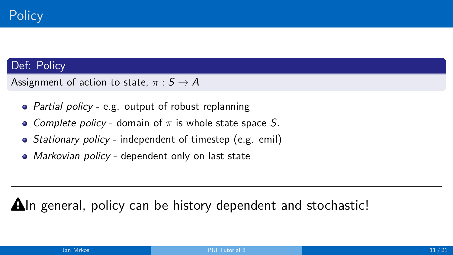## Def: Policy

Assignment of action to state,  $\pi : S \to A$ 

- Partial policy e.g. output of robust replanning
- Complete policy domain of *π* is whole state space S.
- Stationary policy independent of timestep (e.g. emil)
- Markovian policy dependent only on last state

 $\Delta$ In general, policy can be history dependent and stochastic!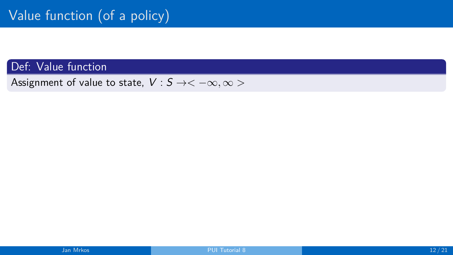Def: Value function

Assignment of value to state,  $V : S \rightarrow < -\infty, \infty >$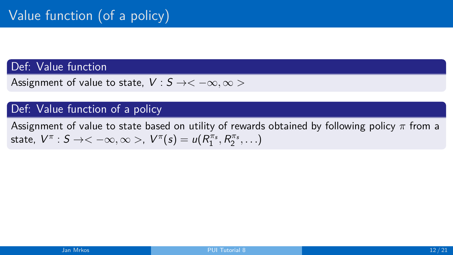### Def: Value function

Assignment of value to state,  $V : S \rightarrow < -\infty, \infty >$ 

### Def: Value function of a policy

Assignment of value to state based on utility of rewards obtained by following policy *π* from a state,  $V^{\pi}: S \to <-\infty, \infty >, V^{\pi}(s) = u(R^{\pi_{s}}_{1}, R^{\pi_{s}}_{2}, \ldots)$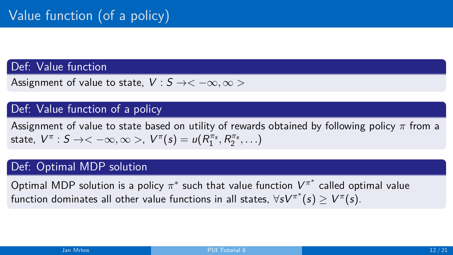### Def: Value function

Assignment of value to state,  $V : S \rightarrow < -\infty, \infty >$ 

### Def: Value function of a policy

Assignment of value to state based on utility of rewards obtained by following policy *π* from a state,  $V^{\pi}: S \to <-\infty, \infty >, V^{\pi}(s) = u(R^{\pi_{s}}_{1}, R^{\pi_{s}}_{2}, \ldots)$ 

### Def: Optimal MDP solution

Optimal MDP solution is a policy  $\pi^*$  such that value function  $V^{\pi^*}$  called optimal value function dominates all other value functions in all states,  $\forall sV^{\pi^*}(s) \geq V^{\pi}(s).$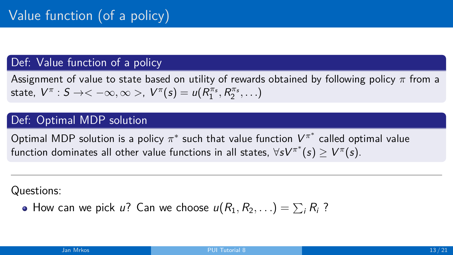#### Def: Value function of a policy

Assignment of value to state based on utility of rewards obtained by following policy *π* from a state,  $V^{\pi}: S \to <-\infty, \infty >, V^{\pi}(s) = u(R^{\pi_{s}}_{1}, R^{\pi_{s}}_{2}, \ldots)$ 

### Def: Optimal MDP solution

Optimal MDP solution is a policy  $\pi^*$  such that value function  $V^{\pi^*}$  called optimal value function dominates all other value functions in all states,  $\forall sV^{\pi^*}(s) \geq V^{\pi}(s).$ 

Questions:

How can we pick  $u?$  Can we choose  $u(R_1,R_2,\ldots)=\sum_i R_i$  ?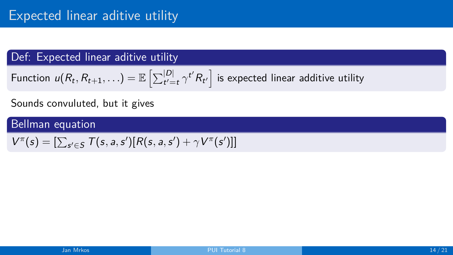Function 
$$
u(R_t, R_{t+1}, \ldots) = \mathbb{E}\left[\sum_{t'=t}^{|D|} \gamma^{t'} R_{t'}\right]
$$
 is expected linear additive utility

#### Sounds convuluted, but it gives

$$
V^{\pi}(s) = \left[\sum_{s' \in S} T(s, a, s') [R(s, a, s') + \gamma V^{\pi}(s')]\right]
$$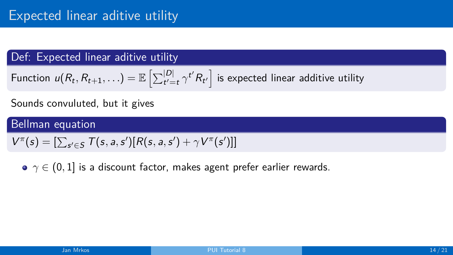Function 
$$
u(R_t, R_{t+1}, \ldots) = \mathbb{E}\left[\sum_{t'=t}^{|D|} \gamma^{t'} R_{t'}\right]
$$
 is expected linear additive utility

#### Sounds convuluted, but it gives

## Bellman equation

$$
V^{\pi}(s) = \left[\sum_{s' \in S} T(s, a, s') [R(s, a, s') + \gamma V^{\pi}(s')]\right]
$$

**•** *γ* ∈ (0, 1) is a discount factor, makes agent prefer earlier rewards.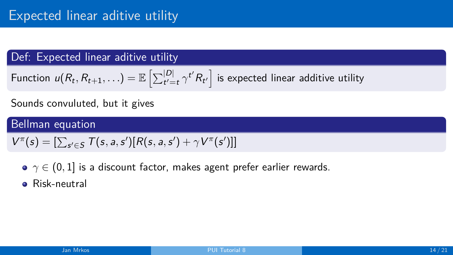Function 
$$
u(R_t, R_{t+1}, \ldots) = \mathbb{E}\left[\sum_{t'=t}^{|D|} \gamma^{t'} R_{t'}\right]
$$
 is expected linear additive utility

#### Sounds convuluted, but it gives

$$
V^{\pi}(s) = \left[\sum_{s' \in S} T(s, a, s') [R(s, a, s') + \gamma V^{\pi}(s')]\right]
$$

- **•** *γ* ∈ (0, 1) is a discount factor, makes agent prefer earlier rewards.
- **e** Risk-neutral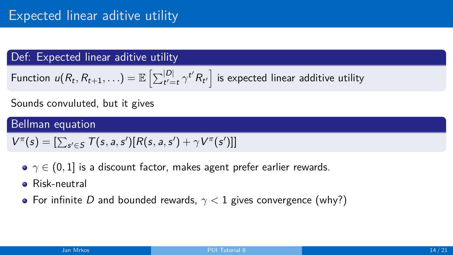Function 
$$
u(R_t, R_{t+1}, \ldots) = \mathbb{E}\left[\sum_{t'=t}^{|D|} \gamma^{t'} R_{t'}\right]
$$
 is expected linear additive utility

#### Sounds convuluted, but it gives

$$
V^{\pi}(s) = \left[\sum_{s' \in S} T(s, a, s') [R(s, a, s') + \gamma V^{\pi}(s')]\right]
$$

- **•**  $γ ∈ (0, 1]$  is a discount factor, makes agent prefer earlier rewards.
- **e** Risk-neutral
- For infinite D and bounded rewards, *γ <* 1 gives convergence (why?)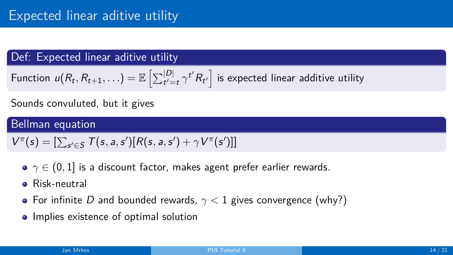Function 
$$
u(R_t, R_{t+1}, \ldots) = \mathbb{E}\left[\sum_{t'=t}^{|D|} \gamma^{t'} R_{t'}\right]
$$
 is expected linear additive utility

### Sounds convuluted, but it gives

$$
V^{\pi}(s) = \left[\sum_{s' \in S} T(s, a, s') [R(s, a, s') + \gamma V^{\pi}(s')]\right]
$$

- **•**  $γ ∈ (0, 1]$  is a discount factor, makes agent prefer earlier rewards.
- **e** Risk-neutral
- For infinite D and bounded rewards, *γ <* 1 gives convergence (why?)
- Implies existence of optimal solution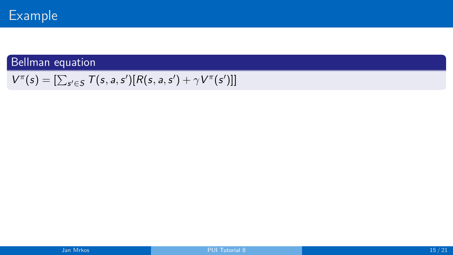$$
V^{\pi}(s) = [\sum_{s' \in S} T(s, a, s')[R(s, a, s') + \gamma V^{\pi}(s')]]
$$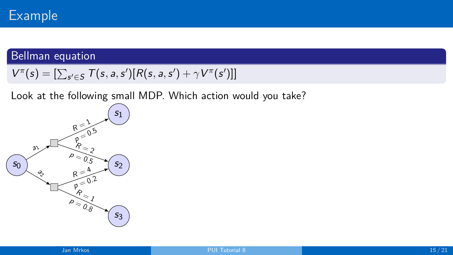## Bellman equation

$$
V^{\pi}(s) = \left[\sum_{s' \in S} T(s, a, s') [R(s, a, s') + \gamma V^{\pi}(s')]\right]
$$

Look at the following small MDP. Which action would you take?

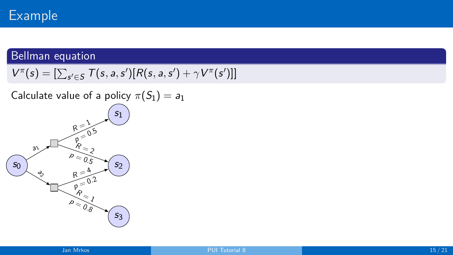### Bellman equation

 $V^{\pi}(s) = [\sum_{s' \in S} T(s, a, s') [R(s, a, s') + \gamma V^{\pi}(s')]$ 

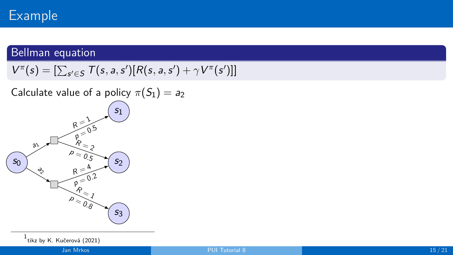## Bellman equation

$$
V^{\pi}(s) = \left[\sum_{s' \in S} T(s, a, s') [R(s, a, s') + \gamma V^{\pi}(s')]\right]
$$

Calculate value of a policy  $\pi(S_1) = a_2$ 



 $^{\rm 1}$ tikz by K. Kučerová (2021)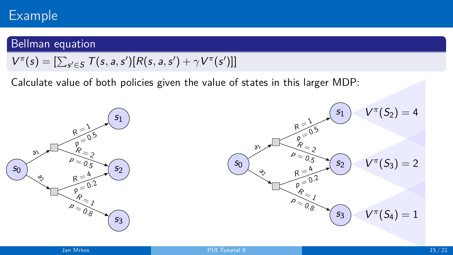### Bellman equation

$$
V^{\pi}(s) = \left[\sum_{s' \in S} T(s, a, s') [R(s, a, s') + \gamma V^{\pi}(s')]\right]
$$

Calculate value of both policies given the value of states in this larger MDP:



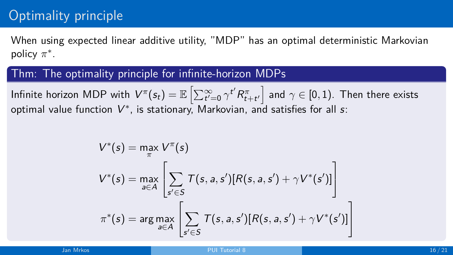# Optimality principle

When using expected linear additive utility, "MDP" has an optimal deterministic Markovian policy *π* ∗ .

#### Thm: The optimality principle for infinite-horizon MDPs

Infinite horizon MDP with  $V^\pi(s_t)=\mathbb{E}\left[\sum_{t'=0}^\infty \gamma^{t'} R^\pi_{t+t'}\right]$  and  $\gamma\in[0,1).$  Then there exists optimal value function  $\mathsf{{V}}^*$ , is stationary, Markovian, and satisfies for all  $\mathsf{s}\text{:}$ 

$$
V^*(s) = \max_{\pi} V^{\pi}(s)
$$
  

$$
V^*(s) = \max_{a \in A} \left[ \sum_{s' \in S} T(s, a, s') [R(s, a, s') + \gamma V^*(s')] \right]
$$
  

$$
\pi^*(s) = \arg \max_{a \in A} \left[ \sum_{s' \in S} T(s, a, s') [R(s, a, s') + \gamma V^*(s')] \right]
$$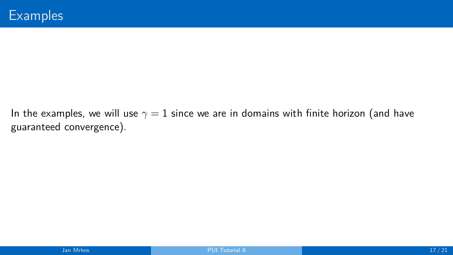In the examples, we will use  $\gamma = 1$  since we are in domains with finite horizon (and have guaranteed convergence).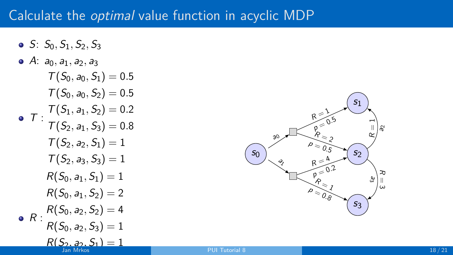# Calculate the optimal value function in acyclic MDP

 $S: S_0, S_1, S_2, S_3$ •  $A: a_0, a_1, a_2, a_3$  $T : T(S_1, a_1, S_2) = 0.2$ <br> $T : T(S_1, a_1, S_2) = 0.2$  $T(S_0, a_0, S_1) = 0.5$  $T(S_0, a_0, S_2) = 0.5$  $T(S_2, a_1, S_3) = 0.8$  $T(S_2, a_2, S_1) = 1$  $T(S_2, a_3, S_3) = 1$  $R: R(S_0, a_2, S_2) = 4$  $R(S_0, a_1, S_1) = 1$  $R(S_0, a_1, S_2) = 2$  $R(S_0, a_2, S_3) = 1$  $R(S_2, a_2, S_1) = 1$ 

 $S<sub>0</sub>$ s1  $52$ s3 a0 श्रे R $\geq \frac{1}{2}$  $p = 0.5$  $\stackrel{P}{\smile}$ 2  $p = 0.5$ R $\leq \frac{4}{5}$  $\int_{p}^{1} = 0.2$  $\stackrel{\mathsf{\scriptstyle{P}}}{\smile}$ l  $p \leq 0.8$  $\approx$  $\begin{pmatrix} -1 \\ -1 \end{pmatrix}$  $\partial$ স a اا<br>س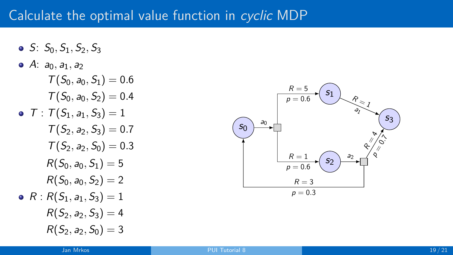## Calculate the optimal value function in cyclic MDP

- $S: S_0, S_1, S_2, S_3$
- $A: a_0, a_1, a_2$  $T: T(S_1, a_1, S_3) = 1$  $T(S_0, a_0, S_1) = 0.6$  $T(S_0, a_0, S_2) = 0.4$  $T(S_2, a_2, S_3) = 0.7$  $T(S_2, a_2, S_0) = 0.3$  $R: R(S_1, a_1, S_3) = 1$  $R(S_0, a_0, S_1) = 5$  $R(S_0, a_0, S_2) = 2$  $R(S_2, a_2, S_3) = 4$  $R(S_2, a_2, S_0) = 3$

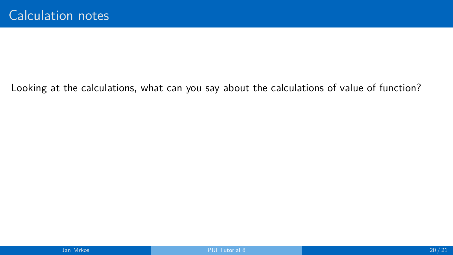Looking at the calculations, what can you say about the calculations of value of function?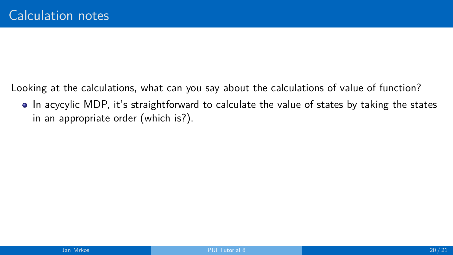Looking at the calculations, what can you say about the calculations of value of function?

In acycylic MDP, it's straightforward to calculate the value of states by taking the states in an appropriate order (which is?).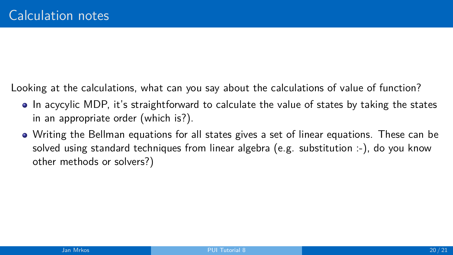Looking at the calculations, what can you say about the calculations of value of function?

- In acycylic MDP, it's straightforward to calculate the value of states by taking the states in an appropriate order (which is?).
- Writing the Bellman equations for all states gives a set of linear equations. These can be solved using standard techniques from linear algebra (e.g. substitution :-), do you know other methods or solvers?)